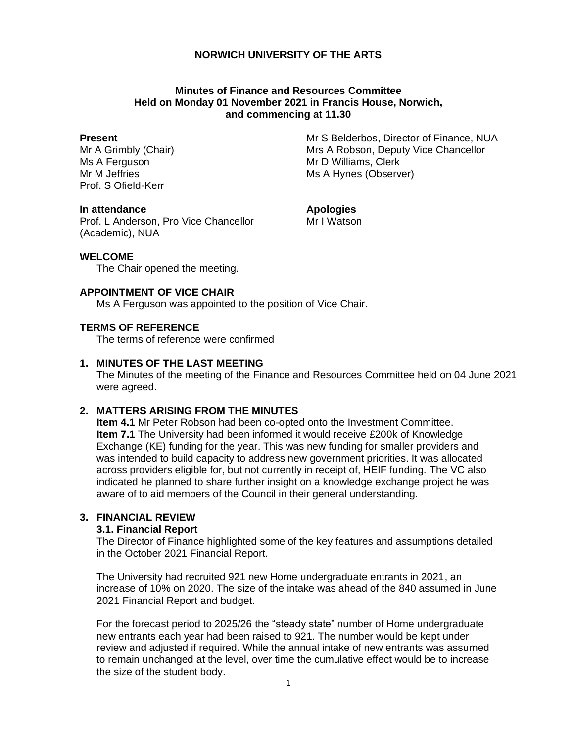# **NORWICH UNIVERSITY OF THE ARTS**

# **Minutes of Finance and Resources Committee Held on Monday 01 November 2021 in Francis House, Norwich, and commencing at 11.30**

#### **Present**

Mr A Grimbly (Chair) Ms A Ferguson Mr M Jeffries Prof. S Ofield-Kerr

Mr S Belderbos, Director of Finance, NUA Mrs A Robson, Deputy Vice Chancellor Mr D Williams, Clerk Ms A Hynes (Observer)

### **In attendance**

**Apologies**

Prof. L Anderson, Pro Vice Chancellor (Academic), NUA

Mr I Watson

# **WELCOME**

The Chair opened the meeting.

### **APPOINTMENT OF VICE CHAIR**

Ms A Ferguson was appointed to the position of Vice Chair.

# **TERMS OF REFERENCE**

The terms of reference were confirmed

# **1. MINUTES OF THE LAST MEETING**

The Minutes of the meeting of the Finance and Resources Committee held on 04 June 2021 were agreed.

# **2. MATTERS ARISING FROM THE MINUTES**

**Item 4.1** Mr Peter Robson had been co-opted onto the Investment Committee. **Item 7.1** The University had been informed it would receive £200k of Knowledge Exchange (KE) funding for the year. This was new funding for smaller providers and was intended to build capacity to address new government priorities. It was allocated across providers eligible for, but not currently in receipt of, HEIF funding. The VC also indicated he planned to share further insight on a knowledge exchange project he was aware of to aid members of the Council in their general understanding.

# **3. FINANCIAL REVIEW**

#### **3.1. Financial Report**

The Director of Finance highlighted some of the key features and assumptions detailed in the October 2021 Financial Report.

The University had recruited 921 new Home undergraduate entrants in 2021, an increase of 10% on 2020. The size of the intake was ahead of the 840 assumed in June 2021 Financial Report and budget.

For the forecast period to 2025/26 the "steady state" number of Home undergraduate new entrants each year had been raised to 921. The number would be kept under review and adjusted if required. While the annual intake of new entrants was assumed to remain unchanged at the level, over time the cumulative effect would be to increase the size of the student body.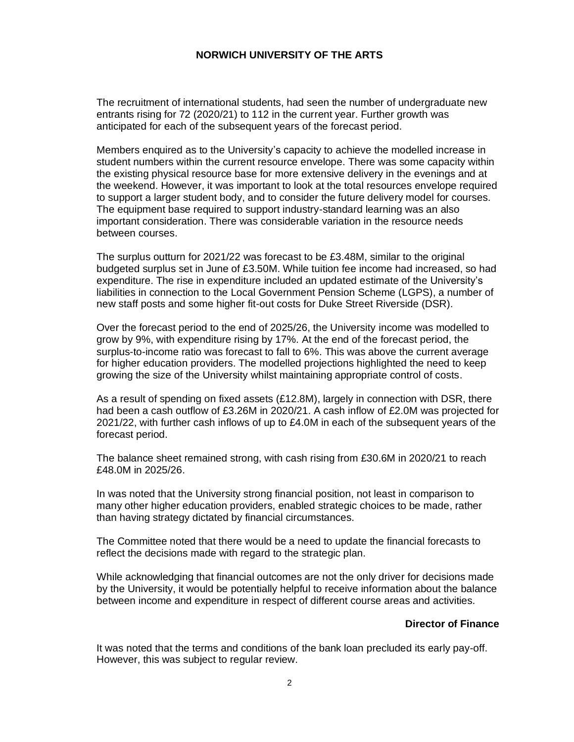### **NORWICH UNIVERSITY OF THE ARTS**

The recruitment of international students, had seen the number of undergraduate new entrants rising for 72 (2020/21) to 112 in the current year. Further growth was anticipated for each of the subsequent years of the forecast period.

Members enquired as to the University's capacity to achieve the modelled increase in student numbers within the current resource envelope. There was some capacity within the existing physical resource base for more extensive delivery in the evenings and at the weekend. However, it was important to look at the total resources envelope required to support a larger student body, and to consider the future delivery model for courses. The equipment base required to support industry-standard learning was an also important consideration. There was considerable variation in the resource needs between courses.

The surplus outturn for 2021/22 was forecast to be £3.48M, similar to the original budgeted surplus set in June of £3.50M. While tuition fee income had increased, so had expenditure. The rise in expenditure included an updated estimate of the University's liabilities in connection to the Local Government Pension Scheme (LGPS), a number of new staff posts and some higher fit-out costs for Duke Street Riverside (DSR).

Over the forecast period to the end of 2025/26, the University income was modelled to grow by 9%, with expenditure rising by 17%. At the end of the forecast period, the surplus-to-income ratio was forecast to fall to 6%. This was above the current average for higher education providers. The modelled projections highlighted the need to keep growing the size of the University whilst maintaining appropriate control of costs.

As a result of spending on fixed assets (£12.8M), largely in connection with DSR, there had been a cash outflow of £3.26M in 2020/21. A cash inflow of £2.0M was projected for 2021/22, with further cash inflows of up to £4.0M in each of the subsequent years of the forecast period.

The balance sheet remained strong, with cash rising from £30.6M in 2020/21 to reach £48.0M in 2025/26.

In was noted that the University strong financial position, not least in comparison to many other higher education providers, enabled strategic choices to be made, rather than having strategy dictated by financial circumstances.

The Committee noted that there would be a need to update the financial forecasts to reflect the decisions made with regard to the strategic plan.

While acknowledging that financial outcomes are not the only driver for decisions made by the University, it would be potentially helpful to receive information about the balance between income and expenditure in respect of different course areas and activities.

### **Director of Finance**

It was noted that the terms and conditions of the bank loan precluded its early pay-off. However, this was subject to regular review.